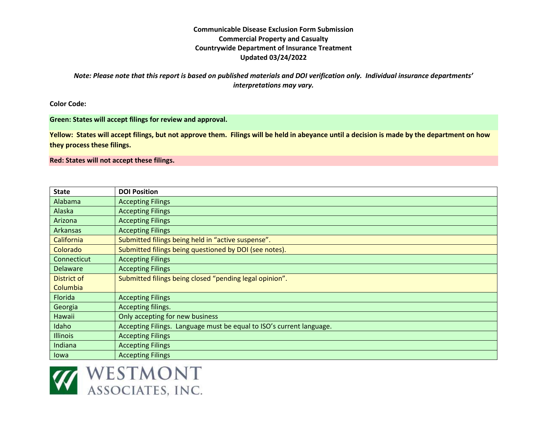*Note: Please note that this report is based on published materials and DOI verification only. Individual insurance departments' interpretations may vary.* 

**Color Code:** 

#### **Green: States will accept filings for review and approval.**

**Yellow: States will accept filings, but not approve them. Filings will be held in abeyance until a decision is made by the department on how they process these filings.**

**Red: States will not accept these filings.**

| <b>State</b>      | <b>DOI Position</b>                                                  |
|-------------------|----------------------------------------------------------------------|
| Alabama           | <b>Accepting Filings</b>                                             |
| Alaska            | <b>Accepting Filings</b>                                             |
| Arizona           | <b>Accepting Filings</b>                                             |
| <b>Arkansas</b>   | <b>Accepting Filings</b>                                             |
| <b>California</b> | Submitted filings being held in "active suspense".                   |
| Colorado          | Submitted filings being questioned by DOI (see notes).               |
| Connecticut       | <b>Accepting Filings</b>                                             |
| <b>Delaware</b>   | <b>Accepting Filings</b>                                             |
| District of       | Submitted filings being closed "pending legal opinion".              |
| Columbia          |                                                                      |
| Florida           | <b>Accepting Filings</b>                                             |
| Georgia           | Accepting filings.                                                   |
| Hawaii            | Only accepting for new business                                      |
| Idaho             | Accepting Filings. Language must be equal to ISO's current language. |
| <b>Illinois</b>   | <b>Accepting Filings</b>                                             |
| Indiana           | <b>Accepting Filings</b>                                             |
| lowa              | <b>Accepting Filings</b>                                             |

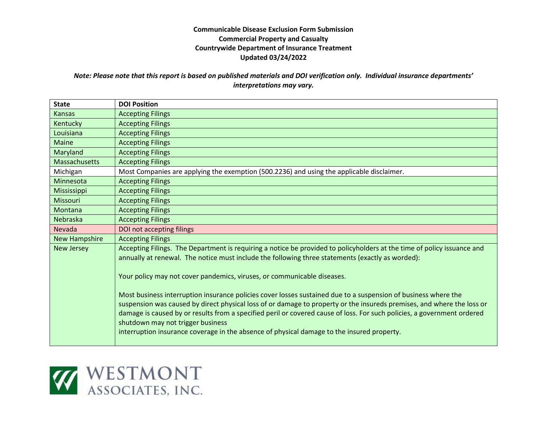# *Note: Please note that this report is based on published materials and DOI verification only. Individual insurance departments' interpretations may vary.*

| <b>State</b>         | <b>DOI Position</b>                                                                                                                                                                                                                                                                                                                                                                                                                                                                                    |
|----------------------|--------------------------------------------------------------------------------------------------------------------------------------------------------------------------------------------------------------------------------------------------------------------------------------------------------------------------------------------------------------------------------------------------------------------------------------------------------------------------------------------------------|
| <b>Kansas</b>        | <b>Accepting Filings</b>                                                                                                                                                                                                                                                                                                                                                                                                                                                                               |
| Kentucky             | <b>Accepting Filings</b>                                                                                                                                                                                                                                                                                                                                                                                                                                                                               |
| Louisiana            | <b>Accepting Filings</b>                                                                                                                                                                                                                                                                                                                                                                                                                                                                               |
| <b>Maine</b>         | <b>Accepting Filings</b>                                                                                                                                                                                                                                                                                                                                                                                                                                                                               |
| Maryland             | <b>Accepting Filings</b>                                                                                                                                                                                                                                                                                                                                                                                                                                                                               |
| Massachusetts        | <b>Accepting Filings</b>                                                                                                                                                                                                                                                                                                                                                                                                                                                                               |
| Michigan             | Most Companies are applying the exemption (500.2236) and using the applicable disclaimer.                                                                                                                                                                                                                                                                                                                                                                                                              |
| Minnesota            | <b>Accepting Filings</b>                                                                                                                                                                                                                                                                                                                                                                                                                                                                               |
| <b>Mississippi</b>   | <b>Accepting Filings</b>                                                                                                                                                                                                                                                                                                                                                                                                                                                                               |
| Missouri             | <b>Accepting Filings</b>                                                                                                                                                                                                                                                                                                                                                                                                                                                                               |
| Montana              | <b>Accepting Filings</b>                                                                                                                                                                                                                                                                                                                                                                                                                                                                               |
| Nebraska             | <b>Accepting Filings</b>                                                                                                                                                                                                                                                                                                                                                                                                                                                                               |
| Nevada               | DOI not accepting filings                                                                                                                                                                                                                                                                                                                                                                                                                                                                              |
| <b>New Hampshire</b> | <b>Accepting Filings</b>                                                                                                                                                                                                                                                                                                                                                                                                                                                                               |
| <b>New Jersey</b>    | Accepting Filings. The Department is requiring a notice be provided to policyholders at the time of policy issuance and<br>annually at renewal. The notice must include the following three statements (exactly as worded):                                                                                                                                                                                                                                                                            |
|                      | Your policy may not cover pandemics, viruses, or communicable diseases.                                                                                                                                                                                                                                                                                                                                                                                                                                |
|                      | Most business interruption insurance policies cover losses sustained due to a suspension of business where the<br>suspension was caused by direct physical loss of or damage to property or the insureds premises, and where the loss or<br>damage is caused by or results from a specified peril or covered cause of loss. For such policies, a government ordered<br>shutdown may not trigger business<br>interruption insurance coverage in the absence of physical damage to the insured property. |

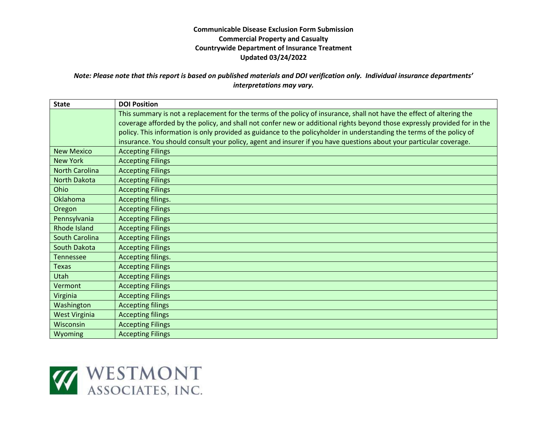### *Note: Please note that this report is based on published materials and DOI verification only. Individual insurance departments' interpretations may vary.*

| <b>State</b>          | <b>DOI Position</b>                                                                                                                                                                                                                                                                                                                                                                                                                                                                               |
|-----------------------|---------------------------------------------------------------------------------------------------------------------------------------------------------------------------------------------------------------------------------------------------------------------------------------------------------------------------------------------------------------------------------------------------------------------------------------------------------------------------------------------------|
|                       | This summary is not a replacement for the terms of the policy of insurance, shall not have the effect of altering the<br>coverage afforded by the policy, and shall not confer new or additional rights beyond those expressly provided for in the<br>policy. This information is only provided as guidance to the policyholder in understanding the terms of the policy of<br>insurance. You should consult your policy, agent and insurer if you have questions about your particular coverage. |
| <b>New Mexico</b>     | <b>Accepting Filings</b>                                                                                                                                                                                                                                                                                                                                                                                                                                                                          |
| <b>New York</b>       | <b>Accepting Filings</b>                                                                                                                                                                                                                                                                                                                                                                                                                                                                          |
| <b>North Carolina</b> | <b>Accepting Filings</b>                                                                                                                                                                                                                                                                                                                                                                                                                                                                          |
| <b>North Dakota</b>   | <b>Accepting Filings</b>                                                                                                                                                                                                                                                                                                                                                                                                                                                                          |
| Ohio                  | <b>Accepting Filings</b>                                                                                                                                                                                                                                                                                                                                                                                                                                                                          |
| <b>Oklahoma</b>       | Accepting filings.                                                                                                                                                                                                                                                                                                                                                                                                                                                                                |
| Oregon                | <b>Accepting Filings</b>                                                                                                                                                                                                                                                                                                                                                                                                                                                                          |
| Pennsylvania          | <b>Accepting Filings</b>                                                                                                                                                                                                                                                                                                                                                                                                                                                                          |
| Rhode Island          | <b>Accepting Filings</b>                                                                                                                                                                                                                                                                                                                                                                                                                                                                          |
| South Carolina        | <b>Accepting Filings</b>                                                                                                                                                                                                                                                                                                                                                                                                                                                                          |
| South Dakota          | <b>Accepting Filings</b>                                                                                                                                                                                                                                                                                                                                                                                                                                                                          |
| <b>Tennessee</b>      | Accepting filings.                                                                                                                                                                                                                                                                                                                                                                                                                                                                                |
| <b>Texas</b>          | <b>Accepting Filings</b>                                                                                                                                                                                                                                                                                                                                                                                                                                                                          |
| Utah                  | <b>Accepting Filings</b>                                                                                                                                                                                                                                                                                                                                                                                                                                                                          |
| Vermont               | <b>Accepting Filings</b>                                                                                                                                                                                                                                                                                                                                                                                                                                                                          |
| Virginia              | <b>Accepting Filings</b>                                                                                                                                                                                                                                                                                                                                                                                                                                                                          |
| Washington            | <b>Accepting filings</b>                                                                                                                                                                                                                                                                                                                                                                                                                                                                          |
| <b>West Virginia</b>  | <b>Accepting filings</b>                                                                                                                                                                                                                                                                                                                                                                                                                                                                          |
| Wisconsin             | <b>Accepting Filings</b>                                                                                                                                                                                                                                                                                                                                                                                                                                                                          |
| Wyoming               | <b>Accepting Filings</b>                                                                                                                                                                                                                                                                                                                                                                                                                                                                          |